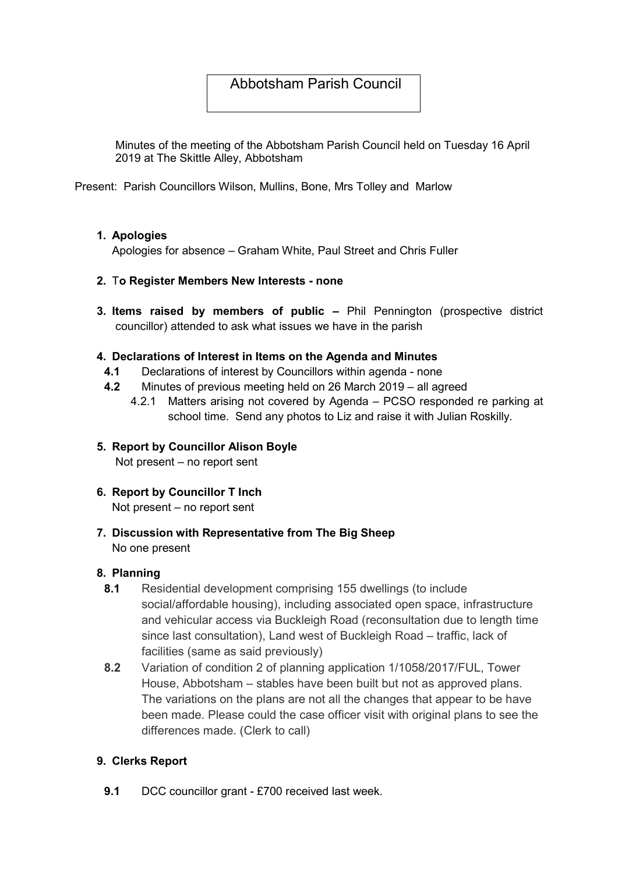# Abbotsham Parish Council

Minutes of the meeting of the Abbotsham Parish Council held on Tuesday 16 April 2019 at The Skittle Alley, Abbotsham

Present: Parish Councillors Wilson, Mullins, Bone, Mrs Tolley and Marlow

# 1. Apologies

Apologies for absence – Graham White, Paul Street and Chris Fuller

### 2. To Register Members New Interests - none

3. Items raised by members of public – Phil Pennington (prospective district councillor) attended to ask what issues we have in the parish

### 4. Declarations of Interest in Items on the Agenda and Minutes

- 4.1 Declarations of interest by Councillors within agenda none
- 4.2 Minutes of previous meeting held on 26 March 2019 all agreed
	- 4.2.1 Matters arising not covered by Agenda PCSO responded re parking at school time. Send any photos to Liz and raise it with Julian Roskilly.
- 5. Report by Councillor Alison Boyle Not present – no report sent
- 6. Report by Councillor T Inch Not present – no report sent
- 7. Discussion with Representative from The Big Sheep No one present

### 8. Planning

- 8.1 Residential development comprising 155 dwellings (to include social/affordable housing), including associated open space, infrastructure and vehicular access via Buckleigh Road (reconsultation due to length time since last consultation), Land west of Buckleigh Road – traffic, lack of facilities (same as said previously)
- 8.2 Variation of condition 2 of planning application 1/1058/2017/FUL, Tower House, Abbotsham – stables have been built but not as approved plans. The variations on the plans are not all the changes that appear to be have been made. Please could the case officer visit with original plans to see the differences made. (Clerk to call)

# 9. Clerks Report

9.1 DCC councillor grant - £700 received last week.